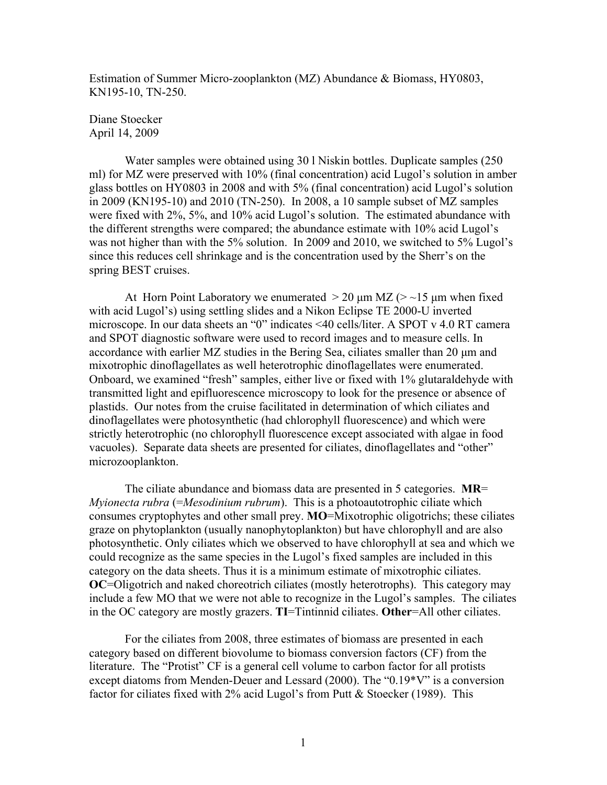Estimation of Summer Micro-zooplankton (MZ) Abundance & Biomass, HY0803, KN195-10, TN-250.

## Diane Stoecker April 14, 2009

Water samples were obtained using 30 l Niskin bottles. Duplicate samples (250 ml) for MZ were preserved with 10% (final concentration) acid Lugol's solution in amber glass bottles on HY0803 in 2008 and with 5% (final concentration) acid Lugol's solution in 2009 (KN195-10) and 2010 (TN-250). In 2008, a 10 sample subset of MZ samples were fixed with 2%, 5%, and 10% acid Lugol's solution. The estimated abundance with the different strengths were compared; the abundance estimate with 10% acid Lugol's was not higher than with the 5% solution. In 2009 and 2010, we switched to 5% Lugol's since this reduces cell shrinkage and is the concentration used by the Sherr's on the spring BEST cruises.

At Horn Point Laboratory we enumerated  $>$  20  $\mu$ m MZ ( $>$  ~15  $\mu$ m when fixed with acid Lugol's) using settling slides and a Nikon Eclipse TE 2000-U inverted microscope. In our data sheets an "0" indicates <40 cells/liter. A SPOT v 4.0 RT camera and SPOT diagnostic software were used to record images and to measure cells. In accordance with earlier MZ studies in the Bering Sea, ciliates smaller than 20 µm and mixotrophic dinoflagellates as well heterotrophic dinoflagellates were enumerated. Onboard, we examined "fresh" samples, either live or fixed with 1% glutaraldehyde with transmitted light and epifluorescence microscopy to look for the presence or absence of plastids. Our notes from the cruise facilitated in determination of which ciliates and dinoflagellates were photosynthetic (had chlorophyll fluorescence) and which were strictly heterotrophic (no chlorophyll fluorescence except associated with algae in food vacuoles). Separate data sheets are presented for ciliates, dinoflagellates and "other" microzooplankton.

The ciliate abundance and biomass data are presented in 5 categories. **MR**= *Myionecta rubra* (=*Mesodinium rubrum*). This is a photoautotrophic ciliate which consumes cryptophytes and other small prey. **MO**=Mixotrophic oligotrichs; these ciliates graze on phytoplankton (usually nanophytoplankton) but have chlorophyll and are also photosynthetic. Only ciliates which we observed to have chlorophyll at sea and which we could recognize as the same species in the Lugol's fixed samples are included in this category on the data sheets. Thus it is a minimum estimate of mixotrophic ciliates. **OC**=Oligotrich and naked choreotrich ciliates (mostly heterotrophs). This category may include a few MO that we were not able to recognize in the Lugol's samples. The ciliates in the OC category are mostly grazers. **TI**=Tintinnid ciliates. **Other**=All other ciliates.

For the ciliates from 2008, three estimates of biomass are presented in each category based on different biovolume to biomass conversion factors (CF) from the literature. The "Protist" CF is a general cell volume to carbon factor for all protists except diatoms from Menden-Deuer and Lessard (2000). The "0.19\*V" is a conversion factor for ciliates fixed with 2% acid Lugol's from Putt & Stoecker (1989). This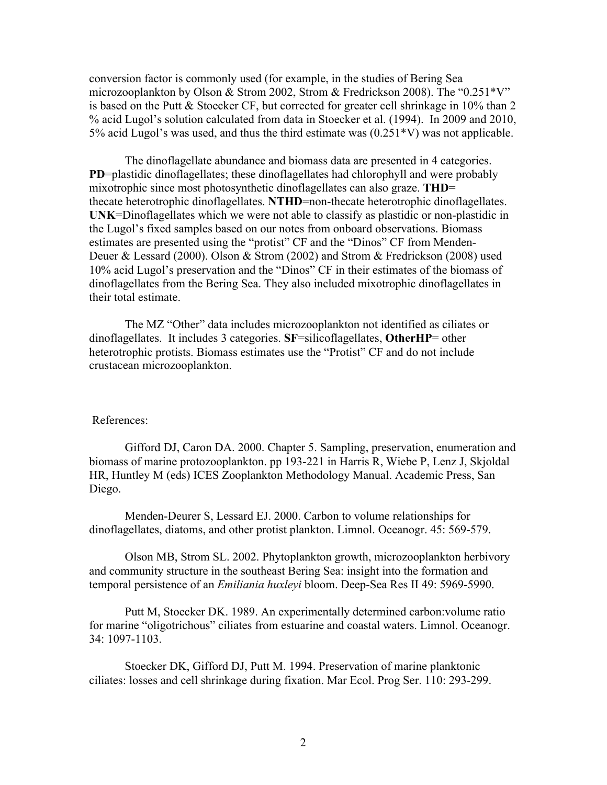conversion factor is commonly used (for example, in the studies of Bering Sea microzooplankton by Olson & Strom 2002, Strom & Fredrickson 2008). The "0.251\*V" is based on the Putt & Stoecker CF, but corrected for greater cell shrinkage in 10% than 2 % acid Lugol's solution calculated from data in Stoecker et al. (1994). In 2009 and 2010, 5% acid Lugol's was used, and thus the third estimate was (0.251\*V) was not applicable.

The dinoflagellate abundance and biomass data are presented in 4 categories. **PD**=plastidic dinoflagellates; these dinoflagellates had chlorophyll and were probably mixotrophic since most photosynthetic dinoflagellates can also graze. **THD**= thecate heterotrophic dinoflagellates. **NTHD**=non-thecate heterotrophic dinoflagellates. **UNK**=Dinoflagellates which we were not able to classify as plastidic or non-plastidic in the Lugol's fixed samples based on our notes from onboard observations. Biomass estimates are presented using the "protist" CF and the "Dinos" CF from Menden-Deuer & Lessard (2000). Olson & Strom (2002) and Strom & Fredrickson (2008) used 10% acid Lugol's preservation and the "Dinos" CF in their estimates of the biomass of dinoflagellates from the Bering Sea. They also included mixotrophic dinoflagellates in their total estimate.

The MZ "Other" data includes microzooplankton not identified as ciliates or dinoflagellates. It includes 3 categories. **SF**=silicoflagellates, **OtherHP**= other heterotrophic protists. Biomass estimates use the "Protist" CF and do not include crustacean microzooplankton.

## References:

Gifford DJ, Caron DA. 2000. Chapter 5. Sampling, preservation, enumeration and biomass of marine protozooplankton. pp 193-221 in Harris R, Wiebe P, Lenz J, Skjoldal HR, Huntley M (eds) ICES Zooplankton Methodology Manual. Academic Press, San Diego.

Menden-Deurer S, Lessard EJ. 2000. Carbon to volume relationships for dinoflagellates, diatoms, and other protist plankton. Limnol. Oceanogr. 45: 569-579.

Olson MB, Strom SL. 2002. Phytoplankton growth, microzooplankton herbivory and community structure in the southeast Bering Sea: insight into the formation and temporal persistence of an *Emiliania huxleyi* bloom. Deep-Sea Res II 49: 5969-5990.

Putt M, Stoecker DK. 1989. An experimentally determined carbon:volume ratio for marine "oligotrichous" ciliates from estuarine and coastal waters. Limnol. Oceanogr. 34: 1097-1103.

Stoecker DK, Gifford DJ, Putt M. 1994. Preservation of marine planktonic ciliates: losses and cell shrinkage during fixation. Mar Ecol. Prog Ser. 110: 293-299.